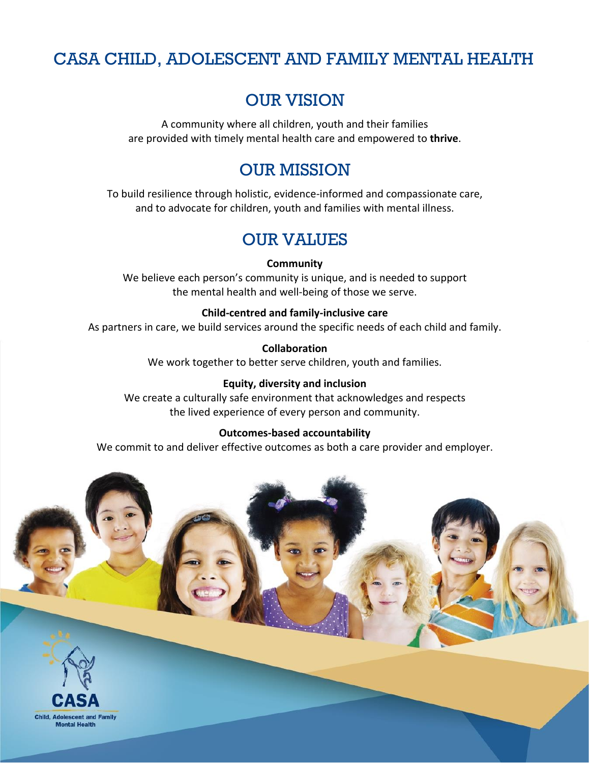## CASA CHILD, ADOLESCENT AND FAMILY MENTAL HEALTH

## OUR VISION

A community where all children, youth and their families are provided with timely mental health care and empowered to **thrive**.

## OUR MISSION

To build resilience through holistic, evidence-informed and compassionate care, and to advocate for children, youth and families with mental illness.

## OUR VALUES

#### **Community**

We believe each person's community is unique, and is needed to support the mental health and well-being of those we serve.

#### **Child-centred and family-inclusive care**

As partners in care, we build services around the specific needs of each child and family.

**Collaboration**

We work together to better serve children, youth and families.

#### **Equity, diversity and inclusion**

We create a culturally safe environment that acknowledges and respects the lived experience of every person and community.

#### **Outcomes-based accountability**

We commit to and deliver effective outcomes as both a care provider and employer.



**Child, Adolescent and Family Mental Health**